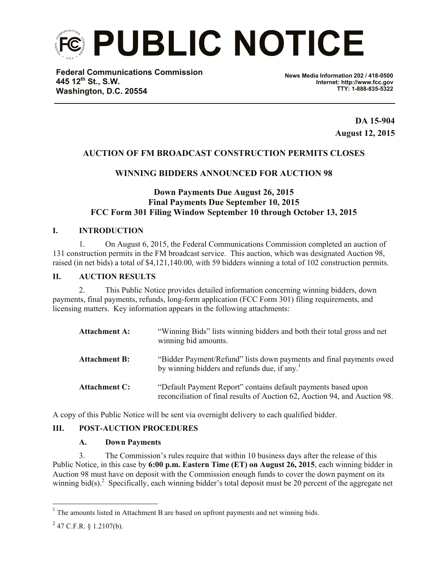

**Federal Communications Commission 445 12th St., S.W. Washington, D.C. 20554**

**News Media Information 202 / 418-0500 Internet: http://www.fcc.gov TTY: 1-888-835-5322**

> **DA 15-904 August 12, 2015**

# **AUCTION OF FM BROADCAST CONSTRUCTION PERMITS CLOSES**

# **WINNING BIDDERS ANNOUNCED FOR AUCTION 98**

## **Down Payments Due August 26, 2015 Final Payments Due September 10, 2015 FCC Form 301 Filing Window September 10 through October 13, 2015**

## **I. INTRODUCTION**

1. On August 6, 2015, the Federal Communications Commission completed an auction of 131 construction permits in the FM broadcast service. This auction, which was designated Auction 98, raised (in net bids) a total of \$4,121,140.00, with 59 bidders winning a total of 102 construction permits.

#### **II. AUCTION RESULTS**

2. This Public Notice provides detailed information concerning winning bidders, down payments, final payments, refunds, long-form application (FCC Form 301) filing requirements, and licensing matters. Key information appears in the following attachments:

| <b>Attachment A:</b> | "Winning Bids" lists winning bidders and both their total gross and net<br>winning bid amounts.                                             |
|----------------------|---------------------------------------------------------------------------------------------------------------------------------------------|
| <b>Attachment B:</b> | "Bidder Payment/Refund" lists down payments and final payments owed<br>by winning bidders and refunds due, if any.                          |
| <b>Attachment C:</b> | "Default Payment Report" contains default payments based upon<br>reconciliation of final results of Auction 62, Auction 94, and Auction 98. |

A copy of this Public Notice will be sent via overnight delivery to each qualified bidder.

## **III. POST-AUCTION PROCEDURES**

#### **A. Down Payments**

3. The Commission's rules require that within 10 business days after the release of this Public Notice, in this case by **6:00 p.m. Eastern Time (ET) on August 26, 2015**, each winning bidder in Auction 98 must have on deposit with the Commission enough funds to cover the down payment on its winning bid(s).<sup>2</sup> Specifically, each winning bidder's total deposit must be 20 percent of the aggregate net

 $<sup>1</sup>$  The amounts listed in Attachment B are based on upfront payments and net winning bids.</sup>

 $^{2}$  47 C.F.R. § 1.2107(b).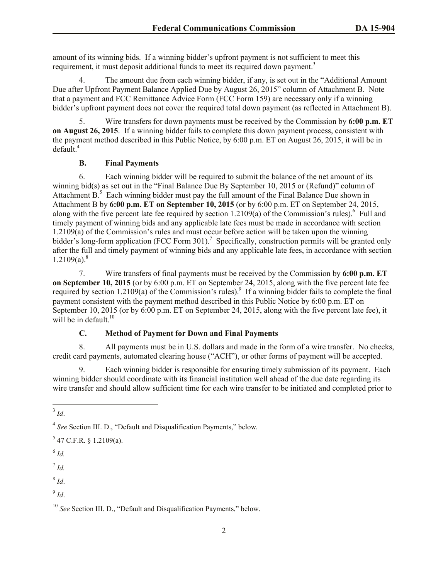amount of its winning bids. If a winning bidder's upfront payment is not sufficient to meet this requirement, it must deposit additional funds to meet its required down payment.<sup>3</sup>

4. The amount due from each winning bidder, if any, is set out in the "Additional Amount Due after Upfront Payment Balance Applied Due by August 26, 2015" column of Attachment B. Note that a payment and FCC Remittance Advice Form (FCC Form 159) are necessary only if a winning bidder's upfront payment does not cover the required total down payment (as reflected in Attachment B).

5. Wire transfers for down payments must be received by the Commission by **6:00 p.m. ET on August 26, 2015**. If a winning bidder fails to complete this down payment process, consistent with the payment method described in this Public Notice, by 6:00 p.m. ET on August 26, 2015, it will be in default.<sup>4</sup>

## **B. Final Payments**

6. Each winning bidder will be required to submit the balance of the net amount of its winning bid(s) as set out in the "Final Balance Due By September 10, 2015 or (Refund)" column of Attachment  $B$ <sup>5</sup> Each winning bidder must pay the full amount of the Final Balance Due shown in Attachment B by **6:00 p.m. ET on September 10, 2015** (or by 6:00 p.m. ET on September 24, 2015, along with the five percent late fee required by section  $1.2109(a)$  of the Commission's rules).<sup>6</sup> Full and timely payment of winning bids and any applicable late fees must be made in accordance with section 1.2109(a) of the Commission's rules and must occur before action will be taken upon the winning bidder's long-form application (FCC Form 301).<sup>7</sup> Specifically, construction permits will be granted only after the full and timely payment of winning bids and any applicable late fees, in accordance with section  $1.2109(a).$ <sup>8</sup>

7. Wire transfers of final payments must be received by the Commission by **6:00 p.m. ET on September 10, 2015** (or by 6:00 p.m. ET on September 24, 2015, along with the five percent late fee required by section 1.2109(a) of the Commission's rules).<sup>9</sup> If a winning bidder fails to complete the final payment consistent with the payment method described in this Public Notice by 6:00 p.m. ET on September 10, 2015 (or by 6:00 p.m. ET on September 24, 2015, along with the five percent late fee), it will be in default. $10<sup>10</sup>$ 

## **C. Method of Payment for Down and Final Payments**

8. All payments must be in U.S. dollars and made in the form of a wire transfer. No checks, credit card payments, automated clearing house ("ACH"), or other forms of payment will be accepted.

9. Each winning bidder is responsible for ensuring timely submission of its payment. Each winning bidder should coordinate with its financial institution well ahead of the due date regarding its wire transfer and should allow sufficient time for each wire transfer to be initiated and completed prior to

 $\overline{\phantom{a}}$ 

- 6 *Id.*
- 7 *Id.*

8 *Id*.

9 *Id*.

<sup>3</sup> *Id*.

<sup>4</sup> *See* Section III. D., "Default and Disqualification Payments," below.

 $5$  47 C.F.R. § 1.2109(a).

<sup>&</sup>lt;sup>10</sup> *See* Section III. D., "Default and Disqualification Payments," below.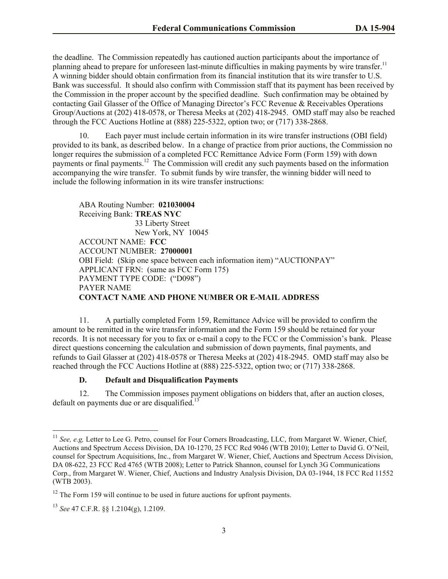the deadline. The Commission repeatedly has cautioned auction participants about the importance of planning ahead to prepare for unforeseen last-minute difficulties in making payments by wire transfer.<sup>11</sup> A winning bidder should obtain confirmation from its financial institution that its wire transfer to U.S. Bank was successful. It should also confirm with Commission staff that its payment has been received by the Commission in the proper account by the specified deadline. Such confirmation may be obtained by contacting Gail Glasser of the Office of Managing Director's FCC Revenue & Receivables Operations Group/Auctions at (202) 418-0578, or Theresa Meeks at (202) 418-2945. OMD staff may also be reached through the FCC Auctions Hotline at (888) 225-5322, option two; or (717) 338-2868.

10. Each payer must include certain information in its wire transfer instructions (OBI field) provided to its bank, as described below. In a change of practice from prior auctions, the Commission no longer requires the submission of a completed FCC Remittance Advice Form (Form 159) with down payments or final payments.<sup>12</sup> The Commission will credit any such payments based on the information accompanying the wire transfer. To submit funds by wire transfer, the winning bidder will need to include the following information in its wire transfer instructions:

ABA Routing Number: **021030004** Receiving Bank: **TREAS NYC** 33 Liberty Street New York, NY 10045 ACCOUNT NAME: **FCC** ACCOUNT NUMBER: **27000001** OBI Field: (Skip one space between each information item) "AUCTIONPAY" APPLICANT FRN: (same as FCC Form 175) PAYMENT TYPE CODE: ("D098") PAYER NAME **CONTACT NAME AND PHONE NUMBER OR E-MAIL ADDRESS**

11. A partially completed Form 159, Remittance Advice will be provided to confirm the amount to be remitted in the wire transfer information and the Form 159 should be retained for your records. It is not necessary for you to fax or e-mail a copy to the FCC or the Commission's bank. Please direct questions concerning the calculation and submission of down payments, final payments, and refunds to Gail Glasser at (202) 418-0578 or Theresa Meeks at (202) 418-2945. OMD staff may also be reached through the FCC Auctions Hotline at (888) 225-5322, option two; or (717) 338-2868.

## **D. Default and Disqualification Payments**

12. The Commission imposes payment obligations on bidders that, after an auction closes, default on payments due or are disqualified.<sup>13</sup>

<sup>&</sup>lt;sup>11</sup> See, e.g, Letter to Lee G. Petro, counsel for Four Corners Broadcasting, LLC, from Margaret W. Wiener, Chief, Auctions and Spectrum Access Division, DA 10-1270, 25 FCC Rcd 9046 (WTB 2010); Letter to David G. O'Neil, counsel for Spectrum Acquisitions, Inc., from Margaret W. Wiener, Chief, Auctions and Spectrum Access Division, DA 08-622, 23 FCC Rcd 4765 (WTB 2008); Letter to Patrick Shannon, counsel for Lynch 3G Communications Corp., from Margaret W. Wiener, Chief, Auctions and Industry Analysis Division, DA 03-1944, 18 FCC Rcd 11552 (WTB 2003).

 $12$  The Form 159 will continue to be used in future auctions for upfront payments.

<sup>13</sup> *See* 47 C.F.R. §§ 1.2104(g), 1.2109.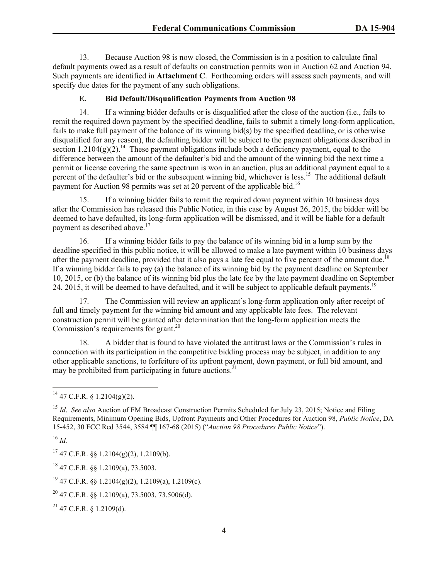13. Because Auction 98 is now closed, the Commission is in a position to calculate final default payments owed as a result of defaults on construction permits won in Auction 62 and Auction 94. Such payments are identified in **Attachment C**. Forthcoming orders will assess such payments, and will specify due dates for the payment of any such obligations.

# **E. Bid Default/Disqualification Payments from Auction 98**

14. If a winning bidder defaults or is disqualified after the close of the auction (i.e., fails to remit the required down payment by the specified deadline, fails to submit a timely long-form application, fails to make full payment of the balance of its winning bid(s) by the specified deadline, or is otherwise disqualified for any reason), the defaulting bidder will be subject to the payment obligations described in section  $1.2104(g)(2)$ .<sup>14</sup> These payment obligations include both a deficiency payment, equal to the difference between the amount of the defaulter's bid and the amount of the winning bid the next time a permit or license covering the same spectrum is won in an auction, plus an additional payment equal to a percent of the defaulter's bid or the subsequent winning bid, whichever is less.<sup>15</sup> The additional default payment for Auction 98 permits was set at 20 percent of the applicable bid.<sup>16</sup>

15. If a winning bidder fails to remit the required down payment within 10 business days after the Commission has released this Public Notice, in this case by August 26, 2015, the bidder will be deemed to have defaulted, its long-form application will be dismissed, and it will be liable for a default payment as described above.<sup>17</sup>

16. If a winning bidder fails to pay the balance of its winning bid in a lump sum by the deadline specified in this public notice, it will be allowed to make a late payment within 10 business days after the payment deadline, provided that it also pays a late fee equal to five percent of the amount due.<sup>18</sup> If a winning bidder fails to pay (a) the balance of its winning bid by the payment deadline on September 10, 2015, or (b) the balance of its winning bid plus the late fee by the late payment deadline on September 24, 2015, it will be deemed to have defaulted, and it will be subject to applicable default payments.<sup>19</sup>

17. The Commission will review an applicant's long-form application only after receipt of full and timely payment for the winning bid amount and any applicable late fees. The relevant construction permit will be granted after determination that the long-form application meets the Commission's requirements for grant.<sup>20</sup>

18. A bidder that is found to have violated the antitrust laws or the Commission's rules in connection with its participation in the competitive bidding process may be subject, in addition to any other applicable sanctions, to forfeiture of its upfront payment, down payment, or full bid amount, and may be prohibited from participating in future auctions.<sup>21</sup>

<sup>16</sup> *Id.*

 $\overline{\phantom{a}}$ 

 $^{14}$  47 C.F.R. § 1.2104(g)(2).

<sup>&</sup>lt;sup>15</sup> *Id. See also* Auction of FM Broadcast Construction Permits Scheduled for July 23, 2015; Notice and Filing Requirements, Minimum Opening Bids, Upfront Payments and Other Procedures for Auction 98, *Public Notice*, DA 15-452, 30 FCC Rcd 3544, 3584 ¶¶ 167-68 (2015) ("*Auction 98 Procedures Public Notice*").

 $17$  47 C.F.R. §§ 1.2104(g)(2), 1.2109(b).

<sup>18</sup> 47 C.F.R. §§ 1.2109(a), 73.5003.

<sup>19</sup> 47 C.F.R. §§ 1.2104(g)(2), 1.2109(a), 1.2109(c).

 $^{20}$  47 C.F.R. §§ 1.2109(a), 73.5003, 73.5006(d).

 $^{21}$  47 C.F.R. § 1.2109(d).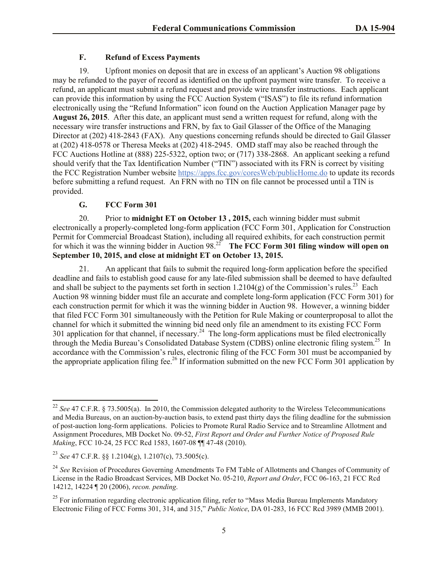## **F. Refund of Excess Payments**

19. Upfront monies on deposit that are in excess of an applicant's Auction 98 obligations may be refunded to the payer of record as identified on the upfront payment wire transfer. To receive a refund, an applicant must submit a refund request and provide wire transfer instructions. Each applicant can provide this information by using the FCC Auction System ("ISAS") to file its refund information electronically using the "Refund Information" icon found on the Auction Application Manager page by **August 26, 2015**. After this date, an applicant must send a written request for refund, along with the necessary wire transfer instructions and FRN, by fax to Gail Glasser of the Office of the Managing Director at (202) 418-2843 (FAX). Any questions concerning refunds should be directed to Gail Glasser at (202) 418-0578 or Theresa Meeks at (202) 418-2945. OMD staff may also be reached through the FCC Auctions Hotline at (888) 225-5322, option two; or (717) 338-2868. An applicant seeking a refund should verify that the Tax Identification Number ("TIN") associated with its FRN is correct by visiting the FCC Registration Number website https://apps.fcc.gov/coresWeb/publicHome.do to update its records before submitting a refund request. An FRN with no TIN on file cannot be processed until a TIN is provided.

## **G. FCC Form 301**

20. Prior to **midnight ET on October 13 , 2015,** each winning bidder must submit electronically a properly-completed long-form application (FCC Form 301, Application for Construction Permit for Commercial Broadcast Station), including all required exhibits, for each construction permit for which it was the winning bidder in Auction  $98.<sup>22</sup>$  The FCC Form 301 filing window will open on **September 10, 2015, and close at midnight ET on October 13, 2015.** 

21. An applicant that fails to submit the required long-form application before the specified deadline and fails to establish good cause for any late-filed submission shall be deemed to have defaulted and shall be subject to the payments set forth in section  $1.2104(g)$  of the Commission's rules.<sup>23</sup> Each Auction 98 winning bidder must file an accurate and complete long-form application (FCC Form 301) for each construction permit for which it was the winning bidder in Auction 98. However, a winning bidder that filed FCC Form 301 simultaneously with the Petition for Rule Making or counterproposal to allot the channel for which it submitted the winning bid need only file an amendment to its existing FCC Form 301 application for that channel, if necessary.<sup>24</sup> The long-form applications must be filed electronically through the Media Bureau's Consolidated Database System (CDBS) online electronic filing system.<sup>25</sup> In accordance with the Commission's rules, electronic filing of the FCC Form 301 must be accompanied by the appropriate application filing fee.<sup>26</sup> If information submitted on the new FCC Form 301 application by

<sup>&</sup>lt;sup>22</sup> *See* 47 C.F.R. § 73.5005(a). In 2010, the Commission delegated authority to the Wireless Telecommunications and Media Bureaus, on an auction-by-auction basis, to extend past thirty days the filing deadline for the submission of post-auction long-form applications. Policies to Promote Rural Radio Service and to Streamline Allotment and Assignment Procedures, MB Docket No. 09-52, *First Report and Order and Further Notice of Proposed Rule Making*, FCC 10-24, 25 FCC Rcd 1583, 1607-08 ¶¶ 47-48 (2010).

<sup>23</sup> *See* 47 C.F.R. §§ 1.2104(g), 1.2107(c), 73.5005(c).

<sup>&</sup>lt;sup>24</sup> See Revision of Procedures Governing Amendments To FM Table of Allotments and Changes of Community of License in the Radio Broadcast Services, MB Docket No. 05-210, *Report and Order*, FCC 06-163, 21 FCC Rcd 14212, 14224 ¶ 20 (2006), *recon. pending*.

 $^{25}$  For information regarding electronic application filing, refer to "Mass Media Bureau Implements Mandatory" Electronic Filing of FCC Forms 301, 314, and 315," *Public Notice*, DA 01-283, 16 FCC Rcd 3989 (MMB 2001).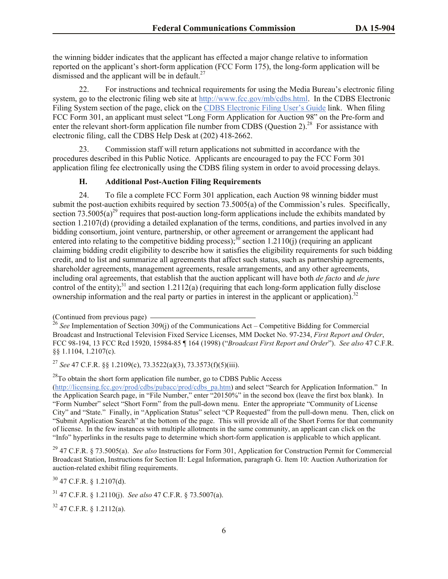the winning bidder indicates that the applicant has effected a major change relative to information reported on the applicant's short-form application (FCC Form 175), the long-form application will be dismissed and the applicant will be in default.<sup>27</sup>

22. For instructions and technical requirements for using the Media Bureau's electronic filing system, go to the electronic filing web site at http://www.fcc.gov/mb/cdbs.html. In the CDBS Electronic Filing System section of the page, click on the CDBS Electronic Filing User's Guide link. When filing FCC Form 301, an applicant must select "Long Form Application for Auction 98" on the Pre-form and enter the relevant short-form application file number from CDBS (Question 2).<sup>28</sup> For assistance with electronic filing, call the CDBS Help Desk at (202) 418-2662.

23. Commission staff will return applications not submitted in accordance with the procedures described in this Public Notice. Applicants are encouraged to pay the FCC Form 301 application filing fee electronically using the CDBS filing system in order to avoid processing delays.

## **H. Additional Post-Auction Filing Requirements**

24. To file a complete FCC Form 301 application, each Auction 98 winning bidder must submit the post-auction exhibits required by section 73.5005(a) of the Commission's rules. Specifically, section  $73.5005(a)^{29}$  requires that post-auction long-form applications include the exhibits mandated by section 1.2107(d) (providing a detailed explanation of the terms, conditions, and parties involved in any bidding consortium, joint venture, partnership, or other agreement or arrangement the applicant had entered into relating to the competitive bidding process);  $\frac{30}{10}$  section 1.2110(j) (requiring an applicant claiming bidding credit eligibility to describe how it satisfies the eligibility requirements for such bidding credit, and to list and summarize all agreements that affect such status, such as partnership agreements, shareholder agreements, management agreements, resale arrangements, and any other agreements, including oral agreements, that establish that the auction applicant will have both *de facto* and *de jure* control of the entity);<sup>31</sup> and section 1.2112(a) (requiring that each long-form application fully disclose ownership information and the real party or parties in interest in the applicant or application).<sup>32</sup>

 $30$  47 C.F.R. § 1.2107(d).

<sup>(</sup>Continued from previous page)

<sup>26</sup> *See* Implementation of Section 309(j) of the Communications Act – Competitive Bidding for Commercial Broadcast and Instructional Television Fixed Service Licenses, MM Docket No. 97-234, *First Report and Order*, FCC 98-194, 13 FCC Rcd 15920, 15984-85 ¶ 164 (1998) ("*Broadcast First Report and Order*"). *See also* 47 C.F.R. §§ 1.1104, 1.2107(c).

<sup>27</sup> *See* 47 C.F.R. §§ 1.2109(c), 73.3522(a)(3), 73.3573(f)(5)(iii).

 $^{28}$ To obtain the short form application file number, go to CDBS Public Access (http://licensing.fcc.gov/prod/cdbs/pubacc/prod/cdbs\_pa.htm) and select "Search for Application Information." In the Application Search page, in "File Number," enter "20150%" in the second box (leave the first box blank). In "Form Number" select "Short Form" from the pull-down menu. Enter the appropriate "Community of License City" and "State." Finally, in "Application Status" select "CP Requested" from the pull-down menu. Then, click on "Submit Application Search" at the bottom of the page. This will provide all of the Short Forms for that community of license. In the few instances with multiple allotments in the same community, an applicant can click on the "Info" hyperlinks in the results page to determine which short-form application is applicable to which applicant.

<sup>29</sup> 47 C.F.R. § 73.5005(a). *See also* Instructions for Form 301, Application for Construction Permit for Commercial Broadcast Station, Instructions for Section II: Legal Information, paragraph G. Item 10: Auction Authorization for auction-related exhibit filing requirements.

<sup>31</sup> 47 C.F.R. § 1.2110(j). *See also* 47 C.F.R. § 73.5007(a).

 $32$  47 C.F.R. § 1.2112(a).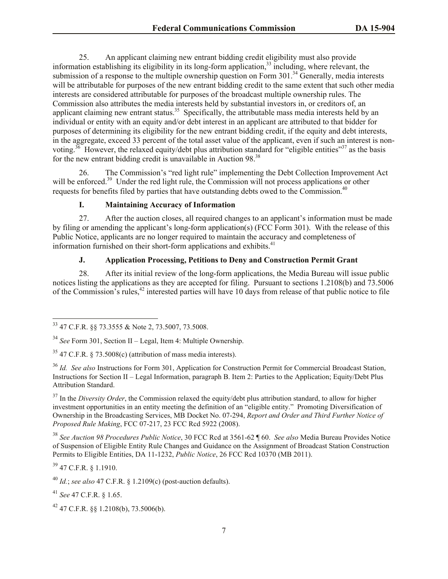25. An applicant claiming new entrant bidding credit eligibility must also provide information establishing its eligibility in its long-form application,<sup>33</sup> including, where relevant, the submission of a response to the multiple ownership question on Form 301.<sup>34</sup> Generally, media interests will be attributable for purposes of the new entrant bidding credit to the same extent that such other media interests are considered attributable for purposes of the broadcast multiple ownership rules. The Commission also attributes the media interests held by substantial investors in, or creditors of, an applicant claiming new entrant status.<sup>35</sup> Specifically, the attributable mass media interests held by an individual or entity with an equity and/or debt interest in an applicant are attributed to that bidder for purposes of determining its eligibility for the new entrant bidding credit, if the equity and debt interests, in the aggregate, exceed 33 percent of the total asset value of the applicant, even if such an interest is nonvoting.<sup>36</sup> However, the relaxed equity/debt plus attribution standard for "eligible entities"<sup>37</sup> as the basis for the new entrant bidding credit is unavailable in Auction 98.<sup>38</sup>

26. The Commission's "red light rule" implementing the Debt Collection Improvement Act will be enforced.<sup>39</sup> Under the red light rule, the Commission will not process applications or other requests for benefits filed by parties that have outstanding debts owed to the Commission.<sup>40</sup>

#### **I. Maintaining Accuracy of Information**

27. After the auction closes, all required changes to an applicant's information must be made by filing or amending the applicant's long-form application(s) (FCC Form 301). With the release of this Public Notice, applicants are no longer required to maintain the accuracy and completeness of information furnished on their short-form applications and exhibits. $41$ 

## **J. Application Processing, Petitions to Deny and Construction Permit Grant**

28. After its initial review of the long-form applications, the Media Bureau will issue public notices listing the applications as they are accepted for filing. Pursuant to sections 1.2108(b) and 73.5006 of the Commission's rules,<sup>42</sup> interested parties will have 10 days from release of that public notice to file

<sup>37</sup> In the *Diversity Order*, the Commission relaxed the equity/debt plus attribution standard, to allow for higher investment opportunities in an entity meeting the definition of an "eligible entity." Promoting Diversification of Ownership in the Broadcasting Services, MB Docket No. 07-294, *Report and Order and Third Further Notice of Proposed Rule Making*, FCC 07-217, 23 FCC Rcd 5922 (2008).

<sup>38</sup> *See Auction 98 Procedures Public Notice*, 30 FCC Rcd at 3561-62 ¶ 60. *See also* Media Bureau Provides Notice of Suspension of Eligible Entity Rule Changes and Guidance on the Assignment of Broadcast Station Construction Permits to Eligible Entities, DA 11-1232, *Public Notice*, 26 FCC Rcd 10370 (MB 2011).

<sup>39</sup> 47 C.F.R. § 1.1910.

 $\overline{\phantom{a}}$ 

<sup>40</sup> *Id.*; *see also* 47 C.F.R. § 1.2109(c) (post-auction defaults).

<sup>41</sup> *See* 47 C.F.R. § 1.65.

 $33$  47 C.F.R. §§ 73.3555 & Note 2, 73.5007, 73.5008.

<sup>34</sup> *See* Form 301, Section II – Legal, Item 4: Multiple Ownership.

 $35$  47 C.F.R. § 73.5008(c) (attribution of mass media interests).

<sup>36</sup> *Id. See also* Instructions for Form 301, Application for Construction Permit for Commercial Broadcast Station, Instructions for Section II – Legal Information, paragraph B. Item 2: Parties to the Application; Equity/Debt Plus Attribution Standard.

 $42$  47 C.F.R. §§ 1.2108(b), 73.5006(b).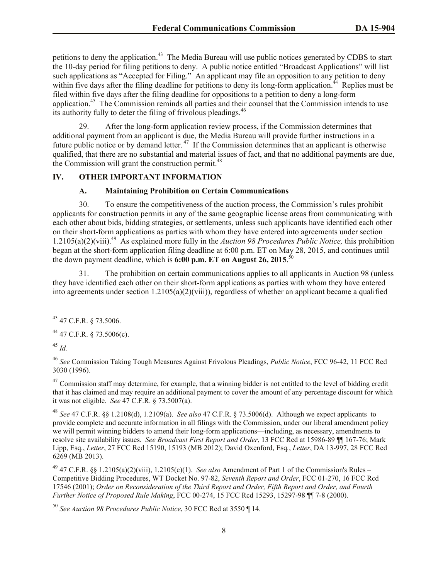petitions to deny the application.<sup>43</sup> The Media Bureau will use public notices generated by CDBS to start the 10-day period for filing petitions to deny. A public notice entitled "Broadcast Applications" will list such applications as "Accepted for Filing." An applicant may file an opposition to any petition to deny within five days after the filing deadline for petitions to deny its long-form application.<sup>44</sup> Replies must be filed within five days after the filing deadline for oppositions to a petition to deny a long-form application.<sup>45</sup> The Commission reminds all parties and their counsel that the Commission intends to use its authority fully to deter the filing of frivolous pleadings.<sup>46</sup>

29. After the long-form application review process, if the Commission determines that additional payment from an applicant is due, the Media Bureau will provide further instructions in a future public notice or by demand letter.<sup>47</sup> If the Commission determines that an applicant is otherwise qualified, that there are no substantial and material issues of fact, and that no additional payments are due, the Commission will grant the construction permit.<sup>48</sup>

## **IV. OTHER IMPORTANT INFORMATION**

## **A. Maintaining Prohibition on Certain Communications**

30. To ensure the competitiveness of the auction process, the Commission's rules prohibit applicants for construction permits in any of the same geographic license areas from communicating with each other about bids, bidding strategies, or settlements, unless such applicants have identified each other on their short-form applications as parties with whom they have entered into agreements under section 1.2105(a)(2)(viii).<sup>49</sup> As explained more fully in the *Auction 98 Procedures Public Notice,* this prohibition began at the short-form application filing deadline at 6:00 p.m. ET on May 28, 2015, and continues until the down payment deadline, which is **6:00 p.m. ET on August 26, 2015**. 50

31. The prohibition on certain communications applies to all applicants in Auction 98 (unless they have identified each other on their short-form applications as parties with whom they have entered into agreements under section  $1.2105(a)(2)(viii)$ , regardless of whether an applicant became a qualified

 $^{44}$  47 C.F.R. § 73.5006(c).

<sup>45</sup> *Id.*

 $\overline{a}$ 

<sup>46</sup> *See* Commission Taking Tough Measures Against Frivolous Pleadings, *Public Notice*, FCC 96-42, 11 FCC Rcd 3030 (1996).

 $^{47}$  Commission staff may determine, for example, that a winning bidder is not entitled to the level of bidding credit that it has claimed and may require an additional payment to cover the amount of any percentage discount for which it was not eligible. *See* 47 C.F.R. § 73.5007(a).

<sup>48</sup> *See* 47 C.F.R. §§ 1.2108(d), 1.2109(a). *See also* 47 C.F.R. § 73.5006(d). Although we expect applicants to provide complete and accurate information in all filings with the Commission, under our liberal amendment policy we will permit winning bidders to amend their long-form applications—including, as necessary, amendments to resolve site availability issues. *See Broadcast First Report and Order*, 13 FCC Rcd at 15986-89 ¶¶ 167-76; Mark Lipp, Esq., *Letter*, 27 FCC Rcd 15190, 15193 (MB 2012); David Oxenford, Esq*.*, *Letter*, DA 13-997, 28 FCC Rcd 6269 (MB 2013).

<sup>49</sup> 47 C.F.R. §§ 1.2105(a)(2)(viii), 1.2105(c)(1). *See also* Amendment of Part 1 of the Commission's Rules – Competitive Bidding Procedures, WT Docket No. 97-82, *Seventh Report and Order*, FCC 01-270, 16 FCC Rcd 17546 (2001); *Order on Reconsideration of the Third Report and Order, Fifth Report and Order, and Fourth Further Notice of Proposed Rule Making*, FCC 00-274, 15 FCC Rcd 15293, 15297-98 ¶¶ 7-8 (2000).

<sup>50</sup> *See Auction 98 Procedures Public Notice*, 30 FCC Rcd at 3550 ¶ 14.

 $43$  47 C.F.R. § 73.5006.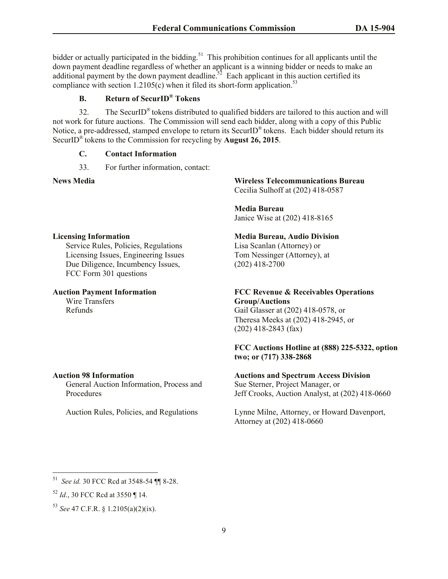bidder or actually participated in the bidding.<sup>51</sup> This prohibition continues for all applicants until the down payment deadline regardless of whether an applicant is a winning bidder or needs to make an additional payment by the down payment deadline.<sup>52</sup> Each applicant in this auction certified its compliance with section 1.2105(c) when it filed its short-form application.<sup>53</sup>

# **B. Return of SecurID® Tokens**

32. The SecurID® tokens distributed to qualified bidders are tailored to this auction and will not work for future auctions. The Commission will send each bidder, along with a copy of this Public Notice, a pre-addressed, stamped envelope to return its SecurID® tokens. Each bidder should return its SecurID® tokens to the Commission for recycling by **August 26, 2015**.

#### **C. Contact Information**

33. For further information, contact:

**News Media Wireless Telecommunications Bureau**  Cecilia Sulhoff at (202) 418-0587

> **Media Bureau** Janice Wise at (202) 418-8165

## **Media Bureau, Audio Division**

Lisa Scanlan (Attorney) or Tom Nessinger (Attorney), at (202) 418-2700

## **FCC Revenue & Receivables Operations Group/Auctions**

Gail Glasser at (202) 418-0578, or Theresa Meeks at (202) 418-2945, or (202) 418-2843 (fax)

## **FCC Auctions Hotline at (888) 225-5322, option two; or (717) 338-2868**

#### **Auctions and Spectrum Access Division**

Sue Sterner, Project Manager, or Jeff Crooks, Auction Analyst, at (202) 418-0660

Lynne Milne, Attorney, or Howard Davenport, Attorney at (202) 418-0660

#### **Licensing Information**

Service Rules, Policies, Regulations Licensing Issues, Engineering Issues Due Diligence, Incumbency Issues, FCC Form 301 questions

## **Auction Payment Information**

Wire Transfers Refunds

#### **Auction 98 Information**

General Auction Information, Process and Procedures

Auction Rules, Policies, and Regulations

<sup>51</sup> *See id.* 30 FCC Rcd at 3548-54 ¶¶ 8-28.

<sup>52</sup> *Id*., 30 FCC Rcd at 3550 ¶ 14.

<sup>53</sup> *See* 47 C.F.R. § 1.2105(a)(2)(ix).